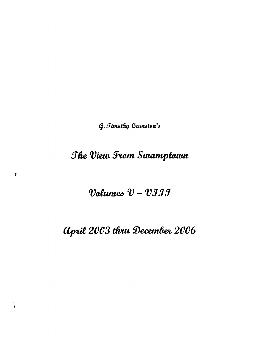G. Timothy Cranston's

## The View From Swamptown

 $\frac{1}{r}$ 

 $\mathbf{e}_1$ 

Volumes  $v$  -  $v$ III

# April 2003 thru December 2006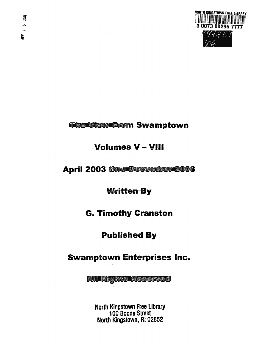

## **The View From Swamptown**

## **Volumes V - VIII**

## **April 2003 thru December 2006**

## **Written By**

## **G. Timothy Cranston**

## **Published By**

### **Swamptown Enterprises Inc.**

**All Rights Reserved**

North Kingstown Free Library 100 Boone Street North Kingstown, RI 02852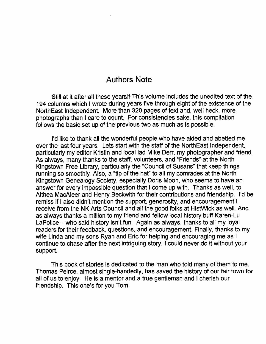#### Authors Note

Still at it after all these years!! This volume includes the unedited text of the 194 columns which I wrote during years five through eight of the existence of the NorthEast Independent. More than 320 pages of text and, well heck, more photographs than I care to count. For consistencies sake, this compilation follows the basic set up of the previous two as much as is possible.

I'd like to thank all the wonderful people who have aided and abetted me over the last four years. Lets start with the staff of the North East Independent, particularly my editor Kristin and local lad Mike Derr, my photographer and friend. As always, many thanks to the staff, volunteers, and "Friends" at the North Kingstown Free Library, particularly the "Council of Susans" that keep things running so smoothly. Also, a "tip of the hat" to all my comrades at the North Kingstown Genealogy Society, especially Doris Moon, who seems to have an answer for every impossible question that I come up with. Thanks as well, to Althea MacAleer and Henry Beckwith for their contributions and friendship. I'd be remiss if I also didn't mention the support, generosity, and encouragement I receive from the NK Arts Council and all the good folks at HistWick as well. And as always thanks a million to my friend and fellow local history buff Karen-Lu LaPolice — who said history isn't fun. Again as always, thanks to all my loyal readers for their feedback, questions, and encouragement. Finally, thanks to my wife Linda and my sons Ryan and Eric for helping and encouraging me as I continue to chase after the next intriguing story. I could never do it without your support.

This book of stories is dedicated to the man who told many of them to me. Thomas Peirce, almost single-handedly, has saved the history of our fair town for all of us to enjoy. He is a mentor and a true gentleman and I cherish our friendship. This one's for you Tom.